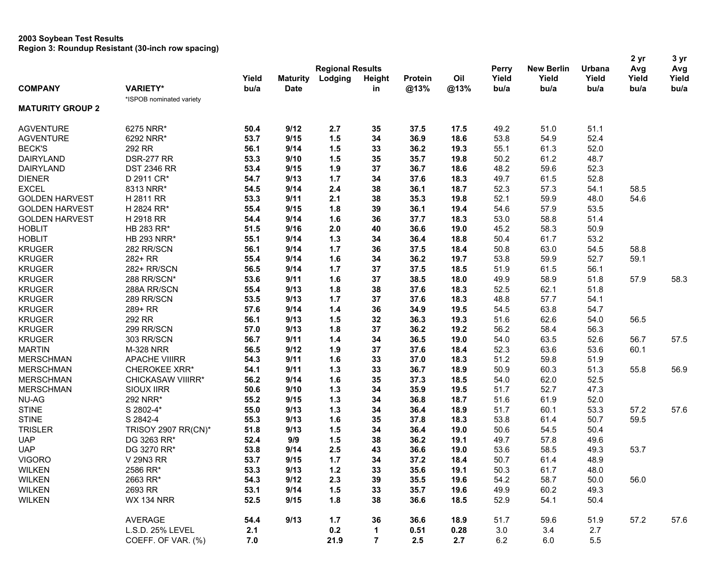|                         |                            |       |                 |                         |                |         |      |              |                   |        | 2 yr  | 3 yr  |
|-------------------------|----------------------------|-------|-----------------|-------------------------|----------------|---------|------|--------------|-------------------|--------|-------|-------|
|                         |                            |       |                 | <b>Regional Results</b> |                |         |      | <b>Perry</b> | <b>New Berlin</b> | Urbana | Avg   | Avg   |
|                         |                            | Yield | <b>Maturity</b> | Lodging                 | <b>Height</b>  | Protein | Oil  | Yield        | Yield             | Yield  | Yield | Yield |
| <b>COMPANY</b>          | <b>VARIETY*</b>            | bu/a  | <b>Date</b>     |                         | in             | @13%    | @13% | bu/a         | bu/a              | bu/a   | bu/a  | bu/a  |
| <b>MATURITY GROUP 2</b> | *ISPOB nominated variety   |       |                 |                         |                |         |      |              |                   |        |       |       |
|                         |                            |       |                 |                         |                |         |      |              |                   |        |       |       |
| <b>AGVENTURE</b>        | 6275 NRR*                  | 50.4  | 9/12            | 2.7                     | 35             | 37.5    | 17.5 | 49.2         | 51.0              | 51.1   |       |       |
| <b>AGVENTURE</b>        | 6292 NRR*                  | 53.7  | 9/15            | 1.5                     | 34             | 36.9    | 18.6 | 53.8         | 54.9              | 52.4   |       |       |
| <b>BECK'S</b>           | 292 RR                     | 56.1  | 9/14            | 1.5                     | 33             | 36.2    | 19.3 | 55.1         | 61.3              | 52.0   |       |       |
| <b>DAIRYLAND</b>        | <b>DSR-277 RR</b>          | 53.3  | 9/10            | 1.5                     | 35             | 35.7    | 19.8 | 50.2         | 61.2              | 48.7   |       |       |
| DAIRYLAND               | <b>DST 2346 RR</b>         | 53.4  | 9/15            | 1.9                     | 37             | 36.7    | 18.6 | 48.2         | 59.6              | 52.3   |       |       |
| <b>DIENER</b>           | D 2911 CR*                 | 54.7  | 9/13            | $1.7$                   | 34             | 37.6    | 18.3 | 49.7         | 61.5              | 52.8   |       |       |
| <b>EXCEL</b>            | 8313 NRR*                  | 54.5  | 9/14            | 2.4                     | 38             | 36.1    | 18.7 | 52.3         | 57.3              | 54.1   | 58.5  |       |
| <b>GOLDEN HARVEST</b>   | H 2811 RR                  | 53.3  | 9/11            | 2.1                     | 38             | 35.3    | 19.8 | 52.1         | 59.9              | 48.0   | 54.6  |       |
| <b>GOLDEN HARVEST</b>   | H 2824 RR*                 | 55.4  | 9/15            | 1.8                     | 39             | 36.1    | 19.4 | 54.6         | 57.9              | 53.5   |       |       |
| <b>GOLDEN HARVEST</b>   | H 2918 RR                  | 54.4  | 9/14            | 1.6                     | 36             | 37.7    | 18.3 | 53.0         | 58.8              | 51.4   |       |       |
| <b>HOBLIT</b>           | HB 283 RR*                 | 51.5  | 9/16            | 2.0                     | 40             | 36.6    | 19.0 | 45.2         | 58.3              | 50.9   |       |       |
| <b>HOBLIT</b>           | <b>HB 293 NRR*</b>         | 55.1  | 9/14            | $1.3$                   | 34             | 36.4    | 18.8 | 50.4         | 61.7              | 53.2   |       |       |
| <b>KRUGER</b>           | 282 RR/SCN                 | 56.1  | 9/14            | 1.7                     | 36             | 37.5    | 18.4 | 50.8         | 63.0              | 54.5   | 58.8  |       |
| <b>KRUGER</b>           | 282+ RR                    | 55.4  | 9/14            | 1.6                     | 34             | 36.2    | 19.7 | 53.8         | 59.9              | 52.7   | 59.1  |       |
| <b>KRUGER</b>           | 282+ RR/SCN                | 56.5  | 9/14            | 1.7                     | 37             | 37.5    | 18.5 | 51.9         | 61.5              | 56.1   |       |       |
| <b>KRUGER</b>           | 288 RR/SCN*                | 53.6  | 9/11            | 1.6                     | 37             | 38.5    | 18.0 | 49.9         | 58.9              | 51.8   | 57.9  | 58.3  |
| <b>KRUGER</b>           | 288A RR/SCN                | 55.4  | 9/13            | 1.8                     | 38             | 37.6    | 18.3 | 52.5         | 62.1              | 51.8   |       |       |
| <b>KRUGER</b>           | 289 RR/SCN                 | 53.5  | 9/13            | $1.7$                   | 37             | 37.6    | 18.3 | 48.8         | 57.7              | 54.1   |       |       |
| <b>KRUGER</b>           | 289+ RR                    | 57.6  | 9/14            | $1.4$                   | 36             | 34.9    | 19.5 | 54.5         | 63.8              | 54.7   |       |       |
| <b>KRUGER</b>           | 292 RR                     | 56.1  | 9/13            | 1.5                     | 32             | 36.3    | 19.3 | 51.6         | 62.6              | 54.0   | 56.5  |       |
| <b>KRUGER</b>           | 299 RR/SCN                 | 57.0  | 9/13            | 1.8                     | 37             | 36.2    | 19.2 | 56.2         | 58.4              | 56.3   |       |       |
| <b>KRUGER</b>           | 303 RR/SCN                 | 56.7  | 9/11            | $1.4$                   | 34             | 36.5    | 19.0 | 54.0         | 63.5              | 52.6   | 56.7  | 57.5  |
| <b>MARTIN</b>           | <b>M-328 NRR</b>           | 56.5  | 9/12            | 1.9                     | 37             | 37.6    | 18.4 | 52.3         | 63.6              | 53.6   | 60.1  |       |
| <b>MERSCHMAN</b>        | <b>APACHE VIIIRR</b>       | 54.3  | 9/11            | 1.6                     | 33             | 37.0    | 18.3 | 51.2         | 59.8              | 51.9   |       |       |
| <b>MERSCHMAN</b>        | <b>CHEROKEE XRR*</b>       | 54.1  | 9/11            | $1.3$                   | 33             | 36.7    | 18.9 | 50.9         | 60.3              | 51.3   | 55.8  | 56.9  |
| <b>MERSCHMAN</b>        | CHICKASAW VIIIRR*          | 56.2  | 9/14            | 1.6                     | 35             | 37.3    | 18.5 | 54.0         | 62.0              | 52.5   |       |       |
| <b>MERSCHMAN</b>        | <b>SIOUX IIRR</b>          | 50.6  | 9/10            | $1.3$                   | 34             | 35.9    | 19.5 | 51.7         | 52.7              | 47.3   |       |       |
| <b>NU-AG</b>            | 292 NRR*                   | 55.2  | 9/15            | $1.3$                   | 34             | 36.8    | 18.7 | 51.6         | 61.9              | 52.0   |       |       |
| <b>STINE</b>            | S 2802-4*                  | 55.0  | 9/13            | $1.3$                   | 34             | 36.4    | 18.9 | 51.7         | 60.1              | 53.3   | 57.2  | 57.6  |
| <b>STINE</b>            | S 2842-4                   | 55.3  | 9/13            | 1.6                     | 35             | 37.8    | 18.3 | 53.8         | 61.4              | 50.7   | 59.5  |       |
| <b>TRISLER</b>          | <b>TRISOY 2907 RR(CN)*</b> | 51.8  | 9/13            | 1.5                     | 34             | 36.4    | 19.0 | 50.6         | 54.5              | 50.4   |       |       |
|                         |                            |       |                 | 1.5                     |                |         |      |              | 57.8              |        |       |       |
| <b>UAP</b>              | DG 3263 RR*                | 52.4  | 9/9             |                         | 38             | 36.2    | 19.1 | 49.7         |                   | 49.6   |       |       |
| <b>UAP</b>              | DG 3270 RR*                | 53.8  | 9/14            | 2.5                     | 43             | 36.6    | 19.0 | 53.6         | 58.5              | 49.3   | 53.7  |       |
| <b>VIGORO</b>           | V 29N3 RR                  | 53.7  | 9/15            | 1.7                     | 34             | 37.2    | 18.4 | 50.7         | 61.4              | 48.9   |       |       |
| <b>WILKEN</b>           | 2586 RR*                   | 53.3  | 9/13            | $1.2$                   | 33             | 35.6    | 19.1 | 50.3         | 61.7              | 48.0   |       |       |
| <b>WILKEN</b>           | 2663 RR*                   | 54.3  | 9/12            | 2.3                     | 39             | 35.5    | 19.6 | 54.2         | 58.7              | 50.0   | 56.0  |       |
| <b>WILKEN</b>           | 2693 RR                    | 53.1  | 9/14            | 1.5                     | 33             | 35.7    | 19.6 | 49.9         | 60.2              | 49.3   |       |       |
| <b>WILKEN</b>           | <b>WX 134 NRR</b>          | 52.5  | 9/15            | 1.8                     | 38             | 36.6    | 18.5 | 52.9         | 54.1              | 50.4   |       |       |
|                         | AVERAGE                    | 54.4  | 9/13            | 1.7                     | 36             | 36.6    | 18.9 | 51.7         | 59.6              | 51.9   | 57.2  | 57.6  |
|                         | L.S.D. 25% LEVEL           | 2.1   |                 | 0.2                     | $\mathbf{1}$   | 0.51    | 0.28 | 3.0          | 3.4               | 2.7    |       |       |
|                         | COEFF. OF VAR. (%)         | 7.0   |                 | 21.9                    | $\overline{7}$ | 2.5     | 2.7  | $6.2\,$      | 6.0               | 5.5    |       |       |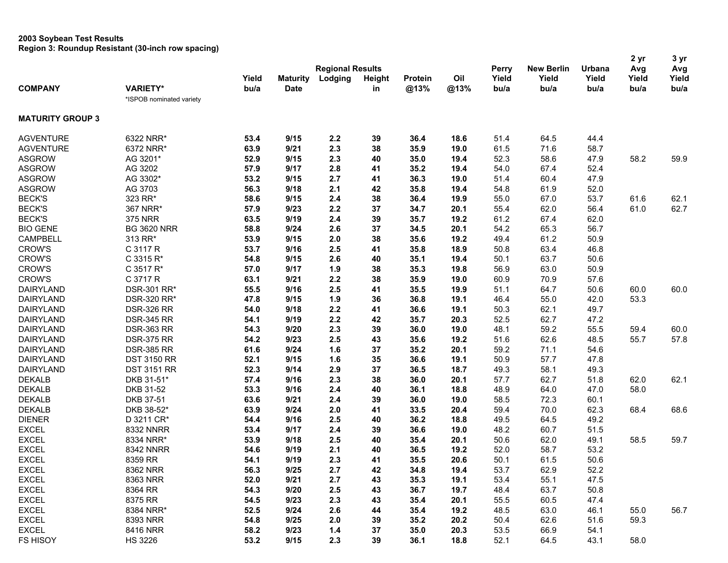# **2003 Soybean Test Results**

**Region 3: Roundup Resistant (30-inch row spacing)**

|                         |                          |       |                         |         |               |         |      |       |                   |        | 2 yr  | 3 yr          |
|-------------------------|--------------------------|-------|-------------------------|---------|---------------|---------|------|-------|-------------------|--------|-------|---------------|
|                         |                          |       | <b>Regional Results</b> |         |               |         |      |       | <b>New Berlin</b> | Urbana | Avg   | Avg           |
|                         |                          | Yield | <b>Maturity</b>         | Lodging | <b>Height</b> | Protein | Oil  | Yield | Yield             | Yield  | Yield | Yield<br>bu/a |
| <b>COMPANY</b>          | <b>VARIETY*</b>          | bu/a  | <b>Date</b>             |         | in            | @13%    | @13% | bu/a  | bu/a              | bu/a   | bu/a  |               |
|                         | *ISPOB nominated variety |       |                         |         |               |         |      |       |                   |        |       |               |
| <b>MATURITY GROUP 3</b> |                          |       |                         |         |               |         |      |       |                   |        |       |               |
| <b>AGVENTURE</b>        | 6322 NRR*                | 53.4  | 9/15                    | 2.2     | 39            | 36.4    | 18.6 | 51.4  | 64.5              | 44.4   |       |               |
| <b>AGVENTURE</b>        | 6372 NRR*                | 63.9  | 9/21                    | 2.3     | 38            | 35.9    | 19.0 | 61.5  | 71.6              | 58.7   |       |               |
| <b>ASGROW</b>           | AG 3201*                 | 52.9  | 9/15                    | 2.3     | 40            | 35.0    | 19.4 | 52.3  | 58.6              | 47.9   | 58.2  | 59.9          |
| <b>ASGROW</b>           | AG 3202                  | 57.9  | 9/17                    | 2.8     | 41            | 35.2    | 19.4 | 54.0  | 67.4              | 52.4   |       |               |
| <b>ASGROW</b>           | AG 3302*                 | 53.2  | 9/15                    | 2.7     | 41            | 36.3    | 19.0 | 51.4  | 60.4              | 47.9   |       |               |
| <b>ASGROW</b>           | AG 3703                  | 56.3  | 9/18                    | 2.1     | 42            | 35.8    | 19.4 | 54.8  | 61.9              | 52.0   |       |               |
| <b>BECK'S</b>           | 323 RR*                  | 58.6  | 9/15                    | 2.4     | 38            | 36.4    | 19.9 | 55.0  | 67.0              | 53.7   | 61.6  | 62.1          |
| <b>BECK'S</b>           | 367 NRR*                 | 57.9  | 9/23                    | 2.2     | 37            | 34.7    | 20.1 | 55.4  | 62.0              | 56.4   | 61.0  | 62.7          |
| <b>BECK'S</b>           | <b>375 NRR</b>           | 63.5  | 9/19                    | 2.4     | 39            | 35.7    | 19.2 | 61.2  | 67.4              | 62.0   |       |               |
| <b>BIO GENE</b>         | <b>BG 3620 NRR</b>       | 58.8  | 9/24                    | 2.6     | 37            | 34.5    | 20.1 | 54.2  | 65.3              | 56.7   |       |               |
| <b>CAMPBELL</b>         | 313 RR*                  | 53.9  | 9/15                    | 2.0     | 38            | 35.6    | 19.2 | 49.4  | 61.2              | 50.9   |       |               |
| <b>CROW'S</b>           | C 3117 R                 | 53.7  | 9/16                    | 2.5     | 41            | 35.8    | 18.9 | 50.8  | 63.4              | 46.8   |       |               |
| <b>CROW'S</b>           | C 3315 R*                | 54.8  | 9/15                    | 2.6     | 40            | 35.1    | 19.4 | 50.1  | 63.7              | 50.6   |       |               |
| <b>CROW'S</b>           | C 3517 R*                | 57.0  | 9/17                    | 1.9     | 38            | 35.3    | 19.8 | 56.9  | 63.0              | 50.9   |       |               |
| <b>CROW'S</b>           | C 3717 R                 | 63.1  | 9/21                    | 2.2     | 38            | 35.9    | 19.0 | 60.9  | 70.9              | 57.6   |       |               |
| <b>DAIRYLAND</b>        | DSR-301 RR*              | 55.5  | 9/16                    | 2.5     | 41            | 35.5    | 19.9 | 51.1  | 64.7              | 50.6   | 60.0  | 60.0          |
| <b>DAIRYLAND</b>        | DSR-320 RR*              | 47.8  | 9/15                    | 1.9     | 36            | 36.8    | 19.1 | 46.4  | 55.0              | 42.0   | 53.3  |               |
| DAIRYLAND               | <b>DSR-326 RR</b>        | 54.0  | 9/18                    | 2.2     | 41            | 36.6    | 19.1 | 50.3  | 62.1              | 49.7   |       |               |
| <b>DAIRYLAND</b>        | <b>DSR-345 RR</b>        | 54.1  | 9/19                    | 2.2     | 42            | 35.7    | 20.3 | 52.5  | 62.7              | 47.2   |       |               |
| <b>DAIRYLAND</b>        | <b>DSR-363 RR</b>        | 54.3  | 9/20                    | 2.3     | 39            | 36.0    | 19.0 | 48.1  | 59.2              | 55.5   | 59.4  | 60.0          |
| <b>DAIRYLAND</b>        | <b>DSR-375 RR</b>        | 54.2  | 9/23                    | 2.5     | 43            | 35.6    | 19.2 | 51.6  | 62.6              | 48.5   | 55.7  | 57.8          |
| <b>DAIRYLAND</b>        | <b>DSR-385 RR</b>        | 61.6  | 9/24                    | 1.6     | 37            | 35.2    | 20.1 | 59.2  | 71.1              | 54.6   |       |               |
|                         |                          |       |                         |         |               |         |      | 50.9  | 57.7              |        |       |               |
| <b>DAIRYLAND</b>        | <b>DST 3150 RR</b>       | 52.1  | 9/15<br>9/14            | 1.6     | 35<br>37      | 36.6    | 19.1 |       | 58.1              | 47.8   |       |               |
| <b>DAIRYLAND</b>        | <b>DST 3151 RR</b>       | 52.3  |                         | 2.9     |               | 36.5    | 18.7 | 49.3  |                   | 49.3   |       |               |
| <b>DEKALB</b>           | DKB 31-51*               | 57.4  | 9/16                    | 2.3     | 38            | 36.0    | 20.1 | 57.7  | 62.7              | 51.8   | 62.0  | 62.1          |
| <b>DEKALB</b>           | DKB 31-52                | 53.3  | 9/16                    | 2.4     | 40            | 36.1    | 18.8 | 48.9  | 64.0              | 47.0   | 58.0  |               |
| <b>DEKALB</b>           | DKB 37-51                | 63.6  | 9/21                    | 2.4     | 39            | 36.0    | 19.0 | 58.5  | 72.3              | 60.1   |       |               |
| <b>DEKALB</b>           | DKB 38-52*               | 63.9  | 9/24                    | 2.0     | 41            | 33.5    | 20.4 | 59.4  | 70.0              | 62.3   | 68.4  | 68.6          |
| <b>DIENER</b>           | D 3211 CR*               | 54.4  | 9/16                    | 2.5     | 40            | 36.2    | 18.8 | 49.5  | 64.5              | 49.2   |       |               |
| <b>EXCEL</b>            | 8332 NNRR                | 53.4  | 9/17                    | 2.4     | 39            | 36.6    | 19.0 | 48.2  | 60.7              | 51.5   |       |               |
| <b>EXCEL</b>            | 8334 NRR*                | 53.9  | 9/18                    | 2.5     | 40            | 35.4    | 20.1 | 50.6  | 62.0              | 49.1   | 58.5  | 59.7          |
| <b>EXCEL</b>            | <b>8342 NNRR</b>         | 54.6  | 9/19                    | 2.1     | 40            | 36.5    | 19.2 | 52.0  | 58.7              | 53.2   |       |               |
| <b>EXCEL</b>            | 8359 RR                  | 54.1  | 9/19                    | 2.3     | 41            | 35.5    | 20.6 | 50.1  | 61.5              | 50.6   |       |               |
| <b>EXCEL</b>            | 8362 NRR                 | 56.3  | 9/25                    | 2.7     | 42            | 34.8    | 19.4 | 53.7  | 62.9              | 52.2   |       |               |
| <b>EXCEL</b>            | 8363 NRR                 | 52.0  | 9/21                    | 2.7     | 43            | 35.3    | 19.1 | 53.4  | 55.1              | 47.5   |       |               |
| <b>EXCEL</b>            | 8364 RR                  | 54.3  | 9/20                    | 2.5     | 43            | 36.7    | 19.7 | 48.4  | 63.7              | 50.8   |       |               |
| <b>EXCEL</b>            | 8375 RR                  | 54.5  | 9/23                    | 2.3     | 43            | 35.4    | 20.1 | 55.5  | 60.5              | 47.4   |       |               |
| <b>EXCEL</b>            | 8384 NRR*                | 52.5  | 9/24                    | 2.6     | 44            | 35.4    | 19.2 | 48.5  | 63.0              | 46.1   | 55.0  | 56.7          |
| <b>EXCEL</b>            | 8393 NRR                 | 54.8  | 9/25                    | 2.0     | 39            | 35.2    | 20.2 | 50.4  | 62.6              | 51.6   | 59.3  |               |
| <b>EXCEL</b>            | 8416 NRR                 | 58.2  | 9/23                    | 1.4     | 37            | 35.0    | 20.3 | 53.5  | 66.9              | 54.1   |       |               |
| <b>FS HISOY</b>         | <b>HS 3226</b>           | 53.2  | 9/15                    | 2.3     | 39            | 36.1    | 18.8 | 52.1  | 64.5              | 43.1   | 58.0  |               |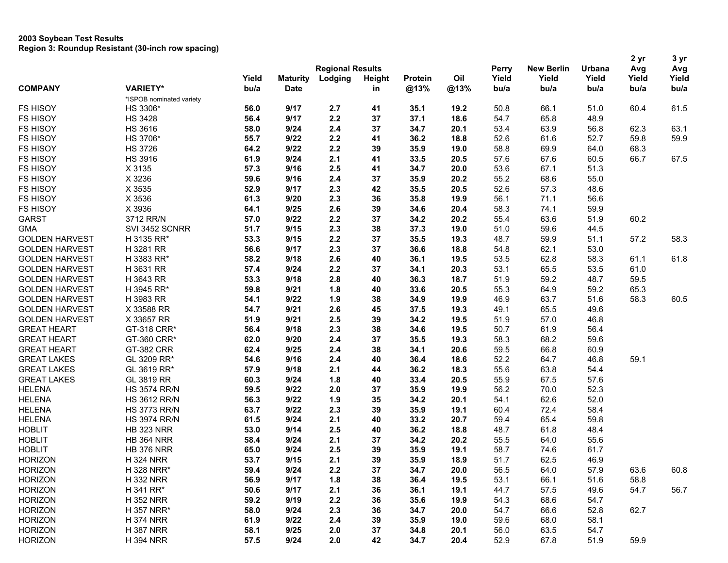|                       |                          |       |                         |         |               |         |      | Perry |                   |        | 2 yr  | 3 yr  |
|-----------------------|--------------------------|-------|-------------------------|---------|---------------|---------|------|-------|-------------------|--------|-------|-------|
| <b>COMPANY</b>        |                          |       | <b>Regional Results</b> |         |               |         |      |       | <b>New Berlin</b> | Urbana | Avg   | Avg   |
|                       |                          | Yield | <b>Maturity</b>         | Lodging | <b>Height</b> | Protein | Oil  | Yield | Yield<br>bu/a     | Yield  | Yield | Yield |
|                       | <b>VARIETY*</b>          | bu/a  | <b>Date</b>             |         | in            | @13%    | @13% | bu/a  |                   | bu/a   | bu/a  | bu/a  |
|                       | *ISPOB nominated variety |       |                         |         |               |         |      |       |                   |        |       |       |
| <b>FS HISOY</b>       | HS 3306*                 | 56.0  | 9/17                    | 2.7     | 41            | 35.1    | 19.2 | 50.8  | 66.1              | 51.0   | 60.4  | 61.5  |
| <b>FS HISOY</b>       | <b>HS 3428</b>           | 56.4  | 9/17                    | 2.2     | 37            | 37.1    | 18.6 | 54.7  | 65.8              | 48.9   |       |       |
| <b>FS HISOY</b>       | <b>HS 3616</b>           | 58.0  | 9/24                    | 2.4     | 37            | 34.7    | 20.1 | 53.4  | 63.9              | 56.8   | 62.3  | 63.1  |
| <b>FS HISOY</b>       | HS 3706*                 | 55.7  | 9/22                    | 2.2     | 41            | 36.2    | 18.8 | 52.6  | 61.6              | 52.7   | 59.8  | 59.9  |
| <b>FS HISOY</b>       | <b>HS 3726</b>           | 64.2  | 9/22                    | 2.2     | 39            | 35.9    | 19.0 | 58.8  | 69.9              | 64.0   | 68.3  |       |
| <b>FS HISOY</b>       | <b>HS 3916</b>           | 61.9  | 9/24                    | 2.1     | 41            | 33.5    | 20.5 | 57.6  | 67.6              | 60.5   | 66.7  | 67.5  |
| FS HISOY              | X 3135                   | 57.3  | 9/16                    | 2.5     | 41            | 34.7    | 20.0 | 53.6  | 67.1              | 51.3   |       |       |
| <b>FS HISOY</b>       | X 3236                   | 59.6  | 9/16                    | 2.4     | 37            | 35.9    | 20.2 | 55.2  | 68.6              | 55.0   |       |       |
| <b>FS HISOY</b>       | X 3535                   | 52.9  | 9/17                    | 2.3     | 42            | 35.5    | 20.5 | 52.6  | 57.3              | 48.6   |       |       |
| <b>FS HISOY</b>       | X 3536                   | 61.3  | 9/20                    | 2.3     | 36            | 35.8    | 19.9 | 56.1  | 71.1              | 56.6   |       |       |
| <b>FS HISOY</b>       | X 3936                   | 64.1  | 9/25                    | 2.6     | 39            | 34.6    | 20.4 | 58.3  | 74.1              | 59.9   |       |       |
| <b>GARST</b>          | 3712 RR/N                | 57.0  | 9/22                    | 2.2     | 37            | 34.2    | 20.2 | 55.4  | 63.6              | 51.9   | 60.2  |       |
| <b>GMA</b>            | SVI 3452 SCNRR           | 51.7  | 9/15                    | 2.3     | 38            | 37.3    | 19.0 | 51.0  | 59.6              | 44.5   |       |       |
| <b>GOLDEN HARVEST</b> | H 3135 RR*               | 53.3  | 9/15                    | 2.2     | 37            | 35.5    | 19.3 | 48.7  | 59.9              | 51.1   | 57.2  | 58.3  |
| <b>GOLDEN HARVEST</b> | H 3281 RR                | 56.6  | 9/17                    | 2.3     | 37            | 36.6    | 18.8 | 54.8  | 62.1              | 53.0   |       |       |
| <b>GOLDEN HARVEST</b> | H 3383 RR*               | 58.2  | 9/18                    | 2.6     | 40            | 36.1    | 19.5 | 53.5  | 62.8              | 58.3   | 61.1  | 61.8  |
| <b>GOLDEN HARVEST</b> | H 3631 RR                | 57.4  | 9/24                    | 2.2     | 37            | 34.1    | 20.3 | 53.1  | 65.5              | 53.5   | 61.0  |       |
| <b>GOLDEN HARVEST</b> | H 3643 RR                | 53.3  | 9/18                    | 2.8     | 40            | 36.3    | 18.7 | 51.9  | 59.2              | 48.7   | 59.5  |       |
| <b>GOLDEN HARVEST</b> | H 3945 RR*               | 59.8  | 9/21                    | 1.8     | 40            | 33.6    | 20.5 | 55.3  | 64.9              | 59.2   | 65.3  |       |
| <b>GOLDEN HARVEST</b> | H 3983 RR                | 54.1  | 9/22                    | 1.9     | 38            | 34.9    | 19.9 | 46.9  | 63.7              | 51.6   | 58.3  | 60.5  |
| <b>GOLDEN HARVEST</b> | X 33588 RR               | 54.7  | 9/21                    | 2.6     | 45            | 37.5    | 19.3 | 49.1  | 65.5              | 49.6   |       |       |
| <b>GOLDEN HARVEST</b> | X 33657 RR               | 51.9  | 9/21                    | 2.5     | 39            | 34.2    | 19.5 | 51.9  | 57.0              | 46.8   |       |       |
| <b>GREAT HEART</b>    | GT-318 CRR*              | 56.4  | 9/18                    | 2.3     | 38            | 34.6    | 19.5 | 50.7  | 61.9              | 56.4   |       |       |
| <b>GREAT HEART</b>    | GT-360 CRR*              | 62.0  | 9/20                    | 2.4     | 37            | 35.5    | 19.3 | 58.3  | 68.2              | 59.6   |       |       |
| <b>GREAT HEART</b>    | GT-382 CRR               | 62.4  | 9/25                    | 2.4     | 38            | 34.1    | 20.6 | 59.5  | 66.8              | 60.9   |       |       |
| <b>GREAT LAKES</b>    | GL 3209 RR*              | 54.6  | 9/16                    | 2.4     | 40            | 36.4    | 18.6 | 52.2  | 64.7              | 46.8   | 59.1  |       |
| <b>GREAT LAKES</b>    | GL 3619 RR*              | 57.9  | 9/18                    | 2.1     | 44            | 36.2    | 18.3 | 55.6  | 63.8              | 54.4   |       |       |
| <b>GREAT LAKES</b>    | GL 3819 RR               | 60.3  | 9/24                    | 1.8     | 40            | 33.4    | 20.5 | 55.9  | 67.5              | 57.6   |       |       |
| <b>HELENA</b>         | <b>HS 3574 RR/N</b>      | 59.5  | 9/22                    | 2.0     | 37            | 35.9    | 19.9 | 56.2  | 70.0              | 52.3   |       |       |
| <b>HELENA</b>         | <b>HS 3612 RR/N</b>      | 56.3  | 9/22                    | 1.9     | 35            | 34.2    | 20.1 | 54.1  | 62.6              | 52.0   |       |       |
| <b>HELENA</b>         | <b>HS 3773 RR/N</b>      | 63.7  | 9/22                    | 2.3     | 39            | 35.9    | 19.1 | 60.4  | 72.4              | 58.4   |       |       |
| <b>HELENA</b>         | <b>HS 3974 RR/N</b>      | 61.5  | 9/24                    | 2.1     | 40            | 33.2    | 20.7 | 59.4  | 65.4              | 59.8   |       |       |
| <b>HOBLIT</b>         | <b>HB 323 NRR</b>        | 53.0  | 9/14                    | 2.5     | 40            | 36.2    | 18.8 | 48.7  | 61.8              | 48.4   |       |       |
| <b>HOBLIT</b>         | <b>HB 364 NRR</b>        | 58.4  | 9/24                    | 2.1     | 37            | 34.2    | 20.2 | 55.5  | 64.0              | 55.6   |       |       |
| <b>HOBLIT</b>         | <b>HB 376 NRR</b>        | 65.0  | 9/24                    | 2.5     | 39            | 35.9    | 19.1 | 58.7  | 74.6              | 61.7   |       |       |
| <b>HORIZON</b>        | <b>H 324 NRR</b>         | 53.7  | 9/15                    | 2.1     | 39            | 35.9    | 18.9 | 51.7  | 62.5              | 46.9   |       |       |
| <b>HORIZON</b>        | H 328 NRR*               | 59.4  | 9/24                    | 2.2     | 37            | 34.7    | 20.0 | 56.5  | 64.0              | 57.9   | 63.6  | 60.8  |
| <b>HORIZON</b>        | <b>H332 NRR</b>          | 56.9  | 9/17                    | 1.8     | 38            | 36.4    | 19.5 | 53.1  | 66.1              | 51.6   | 58.8  |       |
| <b>HORIZON</b>        | H 341 RR*                | 50.6  | 9/17                    | 2.1     | 36            | 36.1    | 19.1 | 44.7  | 57.5              | 49.6   | 54.7  | 56.7  |
| <b>HORIZON</b>        | <b>H 352 NRR</b>         | 59.2  | 9/19                    | 2.2     | 36            | 35.6    | 19.9 | 54.3  | 68.6              | 54.7   |       |       |
| <b>HORIZON</b>        | H 357 NRR*               | 58.0  | 9/24                    | 2.3     | 36            | 34.7    | 20.0 | 54.7  | 66.6              | 52.8   | 62.7  |       |
| <b>HORIZON</b>        | <b>H 374 NRR</b>         | 61.9  | 9/22                    | 2.4     | 39            | 35.9    | 19.0 | 59.6  | 68.0              | 58.1   |       |       |
|                       |                          |       |                         |         |               |         |      |       |                   |        |       |       |
| <b>HORIZON</b>        | <b>H 387 NRR</b>         | 58.1  | 9/25                    | 2.0     | 37            | 34.8    | 20.1 | 56.0  | 63.5              | 54.7   |       |       |
| <b>HORIZON</b>        | <b>H 394 NRR</b>         | 57.5  | 9/24                    | 2.0     | 42            | 34.7    | 20.4 | 52.9  | 67.8              | 51.9   | 59.9  |       |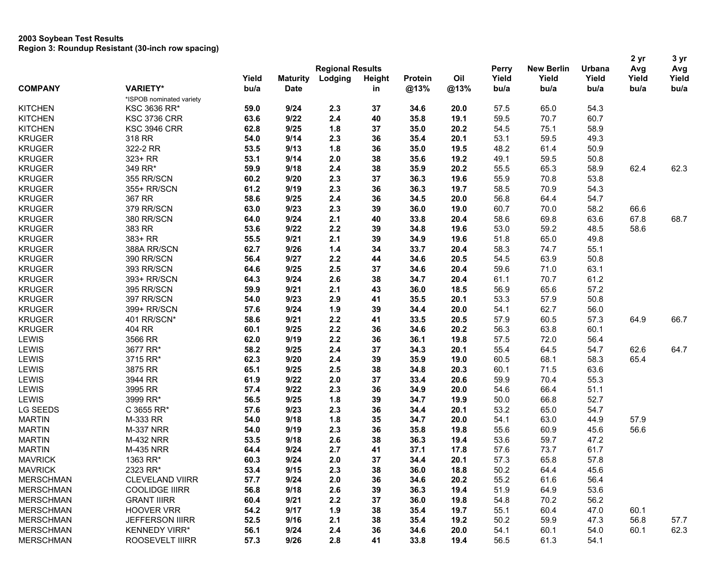|                                            |                         |                 |         |               |                |      |              |                   |        | 2 yr  | 3 yr  |
|--------------------------------------------|-------------------------|-----------------|---------|---------------|----------------|------|--------------|-------------------|--------|-------|-------|
|                                            | <b>Regional Results</b> |                 |         |               |                |      | <b>Perry</b> | <b>New Berlin</b> | Urbana | Avg   | Avg   |
|                                            | Yield                   | <b>Maturity</b> | Lodging | <b>Height</b> | <b>Protein</b> | Oil  | Yield        | Yield             | Yield  | Yield | Yield |
| <b>COMPANY</b><br><b>VARIETY*</b>          | bu/a                    | <b>Date</b>     |         | in            | @13%           | @13% | bu/a         | bu/a              | bu/a   | bu/a  | bu/a  |
| *ISPOB nominated variety                   |                         |                 |         |               |                |      |              |                   |        |       |       |
| <b>KITCHEN</b><br>KSC 3636 RR*             | 59.0                    | 9/24            | 2.3     | 37            | 34.6           | 20.0 | 57.5         | 65.0              | 54.3   |       |       |
| <b>KITCHEN</b><br><b>KSC 3736 CRR</b>      | 63.6                    | 9/22            | 2.4     | 40            | 35.8           | 19.1 | 59.5         | 70.7              | 60.7   |       |       |
| <b>KITCHEN</b><br><b>KSC 3946 CRR</b>      | 62.8                    | 9/25            | 1.8     | 37            | 35.0           | 20.2 | 54.5         | 75.1              | 58.9   |       |       |
| <b>KRUGER</b><br>318 RR                    | 54.0                    | 9/14            | 2.3     | 36            | 35.4           | 20.1 | 53.1         | 59.5              | 49.3   |       |       |
| <b>KRUGER</b><br>322-2 RR                  | 53.5                    | 9/13            | 1.8     | 36            | 35.0           | 19.5 | 48.2         | 61.4              | 50.9   |       |       |
| <b>KRUGER</b><br>323+ RR                   | 53.1                    | 9/14            | 2.0     | 38            | 35.6           | 19.2 | 49.1         | 59.5              | 50.8   |       |       |
| <b>KRUGER</b><br>349 RR*                   | 59.9                    | 9/18            | 2.4     | 38            | 35.9           | 20.2 | 55.5         | 65.3              | 58.9   | 62.4  | 62.3  |
| <b>KRUGER</b><br>355 RR/SCN                | 60.2                    | 9/20            | 2.3     | 37            | 36.3           | 19.6 | 55.9         | 70.8              | 53.8   |       |       |
| <b>KRUGER</b><br>355+ RR/SCN               | 61.2                    | 9/19            | 2.3     | 36            | 36.3           | 19.7 | 58.5         | 70.9              | 54.3   |       |       |
| <b>KRUGER</b><br>367 RR                    | 58.6                    | 9/25            | 2.4     | 36            | 34.5           | 20.0 | 56.8         | 64.4              | 54.7   |       |       |
| <b>KRUGER</b><br>379 RR/SCN                | 63.0                    | 9/23            | 2.3     | 39            | 36.0           | 19.0 | 60.7         | 70.0              | 58.2   | 66.6  |       |
| <b>KRUGER</b><br>380 RR/SCN                | 64.0                    | 9/24            | 2.1     | 40            | 33.8           | 20.4 | 58.6         | 69.8              | 63.6   | 67.8  | 68.7  |
| <b>KRUGER</b><br>383 RR                    | 53.6                    | 9/22            | 2.2     | 39            | 34.8           | 19.6 | 53.0         | 59.2              | 48.5   | 58.6  |       |
| <b>KRUGER</b><br>383+ RR                   | 55.5                    | 9/21            | 2.1     | 39            | 34.9           | 19.6 | 51.8         | 65.0              | 49.8   |       |       |
| <b>KRUGER</b><br>388A RR/SCN               | 62.7                    | 9/26            | 1.4     | 34            | 33.7           | 20.4 | 58.3         | 74.7              | 55.1   |       |       |
| <b>KRUGER</b><br>390 RR/SCN                | 56.4                    | 9/27            | 2.2     | 44            | 34.6           | 20.5 | 54.5         | 63.9              | 50.8   |       |       |
| <b>KRUGER</b><br>393 RR/SCN                | 64.6                    | 9/25            | 2.5     | 37            | 34.6           | 20.4 | 59.6         | 71.0              | 63.1   |       |       |
| <b>KRUGER</b><br>393+ RR/SCN               | 64.3                    | 9/24            | 2.6     | 38            | 34.7           | 20.4 | 61.1         | 70.7              | 61.2   |       |       |
| <b>KRUGER</b><br>395 RR/SCN                | 59.9                    | 9/21            | 2.1     | 43            | 36.0           | 18.5 | 56.9         | 65.6              | 57.2   |       |       |
| <b>KRUGER</b><br>397 RR/SCN                | 54.0                    | 9/23            | 2.9     | 41            | 35.5           | 20.1 | 53.3         | 57.9              | 50.8   |       |       |
| <b>KRUGER</b><br>399+ RR/SCN               | 57.6                    | 9/24            | 1.9     | 39            | 34.4           | 20.0 | 54.1         | 62.7              | 56.0   |       |       |
| <b>KRUGER</b><br>401 RR/SCN*               | 58.6                    | 9/21            | 2.2     | 41            | 33.5           | 20.5 | 57.9         | 60.5              | 57.3   | 64.9  | 66.7  |
| <b>KRUGER</b><br>404 RR                    | 60.1                    | 9/25            | 2.2     | 36            | 34.6           | 20.2 | 56.3         | 63.8              | 60.1   |       |       |
| <b>LEWIS</b><br>3566 RR                    | 62.0                    | 9/19            | 2.2     | 36            | 36.1           | 19.8 | 57.5         | 72.0              | 56.4   |       |       |
| LEWIS<br>3677 RR*                          | 58.2                    | 9/25            | 2.4     | 37            | 34.3           | 20.1 | 55.4         | 64.5              | 54.7   | 62.6  | 64.7  |
| LEWIS<br>3715 RR*                          | 62.3                    | 9/20            | 2.4     | 39            | 35.9           | 19.0 | 60.5         | 68.1              | 58.3   | 65.4  |       |
| LEWIS<br>3875 RR                           | 65.1                    | 9/25            | 2.5     | 38            | 34.8           | 20.3 | 60.1         | 71.5              | 63.6   |       |       |
| LEWIS<br>3944 RR                           | 61.9                    | 9/22            | 2.0     | 37            | 33.4           | 20.6 | 59.9         | 70.4              | 55.3   |       |       |
| LEWIS<br>3995 RR                           | 57.4                    | 9/22            | 2.3     | 36            | 34.9           | 20.0 | 54.6         | 66.4              | 51.1   |       |       |
| 3999 RR*<br>LEWIS                          | 56.5                    | 9/25            | 1.8     | 39            | 34.7           | 19.9 | 50.0         | 66.8              | 52.7   |       |       |
| LG SEEDS<br>C 3655 RR*                     | 57.6                    | 9/23            | 2.3     | 36            | 34.4           | 20.1 | 53.2         | 65.0              | 54.7   |       |       |
| <b>MARTIN</b><br>M-333 RR                  | 54.0                    | 9/18            | 1.8     | 35            | 34.7           | 20.0 | 54.1         | 63.0              | 44.9   | 57.9  |       |
| <b>MARTIN</b><br><b>M-337 NRR</b>          | 54.0                    | 9/19            | 2.3     | 36            | 35.8           | 19.8 | 55.6         | 60.9              | 45.6   | 56.6  |       |
| <b>MARTIN</b><br><b>M-432 NRR</b>          | 53.5                    | 9/18            | 2.6     | 38            | 36.3           | 19.4 | 53.6         | 59.7              | 47.2   |       |       |
| <b>MARTIN</b><br><b>M-435 NRR</b>          | 64.4                    | 9/24            | 2.7     | 41            | 37.1           | 17.8 | 57.6         | 73.7              | 61.7   |       |       |
| <b>MAVRICK</b><br>1363 RR*                 | 60.3                    | 9/24            | 2.0     | 37            | 34.4           | 20.1 | 57.3         | 65.8              | 57.8   |       |       |
| <b>MAVRICK</b><br>2323 RR*                 | 53.4                    | 9/15            | 2.3     | 38            | 36.0           | 18.8 | 50.2         | 64.4              | 45.6   |       |       |
| <b>MERSCHMAN</b><br><b>CLEVELAND VIIRR</b> | 57.7                    | 9/24            | 2.0     | 36            | 34.6           | 20.2 | 55.2         | 61.6              | 56.4   |       |       |
| <b>MERSCHMAN</b><br><b>COOLIDGE IIIRR</b>  | 56.8                    | 9/18            | 2.6     | 39            | 36.3           | 19.4 | 51.9         | 64.9              | 53.6   |       |       |
| <b>MERSCHMAN</b><br><b>GRANT IIIRR</b>     | 60.4                    | 9/21            | 2.2     | 37            | 36.0           | 19.8 | 54.8         | 70.2              | 56.2   |       |       |
| <b>MERSCHMAN</b><br><b>HOOVER VRR</b>      | 54.2                    | 9/17            | 1.9     | 38            | 35.4           | 19.7 | 55.1         | 60.4              | 47.0   | 60.1  |       |
| <b>MERSCHMAN</b><br><b>JEFFERSON IIIRR</b> | 52.5                    | 9/16            | 2.1     | 38            | 35.4           | 19.2 | 50.2         | 59.9              | 47.3   | 56.8  | 57.7  |
| <b>MERSCHMAN</b><br><b>KENNEDY VIRR*</b>   | 56.1                    | 9/24            | 2.4     | 36            | 34.6           | 20.0 | 54.1         | 60.1              | 54.0   | 60.1  | 62.3  |
| <b>MERSCHMAN</b><br>ROOSEVELT IIIRR        | 57.3                    | 9/26            | 2.8     | 41            | 33.8           | 19.4 | 56.5         | 61.3              | 54.1   |       |       |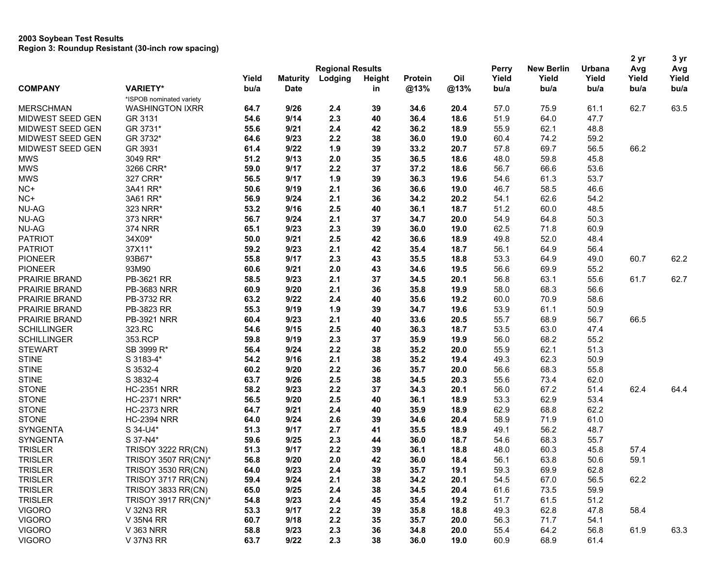| <b>New Berlin</b><br><b>Regional Results</b><br>Perry<br>Urbana<br>Avg<br>Yield<br>Lodging<br>Oil<br>Yield<br>Yield<br>Yield<br>Yield<br><b>Maturity</b><br>Height<br><b>Protein</b><br><b>COMPANY</b><br><b>VARIETY*</b><br>bu/a<br><b>Date</b><br>@13%<br>@13%<br>bu/a<br>in<br>bu/a<br>bu/a<br>bu/a<br>*ISPOB nominated variety<br>62.7<br>63.5<br><b>WASHINGTON IXRR</b><br>64.7<br>9/26<br>2.4<br>39<br>34.6<br>20.4<br>57.0<br>75.9<br>61.1<br><b>MERSCHMAN</b><br>54.6<br>2.3<br>36.4<br>47.7<br>MIDWEST SEED GEN<br>GR 3131<br>9/14<br>40<br>18.6<br>51.9<br>64.0<br>GR 3731*<br>55.6<br>2.4<br>42<br>36.2<br>62.1<br>MIDWEST SEED GEN<br>9/21<br>18.9<br>55.9<br>48.8<br>MIDWEST SEED GEN<br>GR 3732*<br>2.2<br>74.2<br>64.6<br>9/23<br>38<br>36.0<br>19.0<br>60.4<br>59.2<br>39<br>66.2<br>MIDWEST SEED GEN<br>GR 3931<br>61.4<br>9/22<br>1.9<br>33.2<br>20.7<br>57.8<br>69.7<br>56.5<br><b>MWS</b><br>3049 RR*<br>51.2<br>9/13<br>2.0<br>35<br>36.5<br>18.6<br>48.0<br>59.8<br>45.8<br><b>MWS</b><br>3266 CRR*<br>59.0<br>9/17<br>2.2<br>37<br>37.2<br>56.7<br>66.6<br>53.6<br>18.6<br><b>MWS</b><br>327 CRR*<br>56.5<br>1.9<br>39<br>19.6<br>53.7<br>9/17<br>36.3<br>54.6<br>61.3<br>3A41 RR*<br>2.1<br>36<br>46.6<br>NC+<br>50.6<br>9/19<br>36.6<br>19.0<br>46.7<br>58.5<br>NC+<br>3A61 RR*<br>56.9<br>2.1<br>36<br>62.6<br>54.2<br>9/24<br>34.2<br>20.2<br>54.1<br>NU-AG<br>323 NRR*<br>9/16<br>2.5<br>60.0<br>48.5<br>53.2<br>40<br>36.1<br>18.7<br>51.2<br>2.1<br>50.3<br><b>NU-AG</b><br>373 NRR*<br>56.7<br>9/24<br>37<br>34.7<br>20.0<br>54.9<br>64.8<br>2.3<br>39<br>60.9<br><b>NU-AG</b><br><b>374 NRR</b><br>65.1<br>9/23<br>36.0<br>19.0<br>62.5<br>71.8<br><b>PATRIOT</b><br>34X09*<br>2.5<br>42<br>52.0<br>48.4<br>50.0<br>9/21<br>36.6<br>18.9<br>49.8<br>37X11*<br>2.1<br>42<br>56.4<br><b>PATRIOT</b><br>59.2<br>9/23<br>35.4<br>18.7<br>56.1<br>64.9<br>93B67*<br><b>PIONEER</b><br>55.8<br>9/17<br>2.3<br>43<br>35.5<br>18.8<br>53.3<br>64.9<br>49.0<br>60.7<br><b>PIONEER</b><br>93M90<br>60.6<br>9/21<br>2.0<br>43<br>34.6<br>19.5<br>56.6<br>69.9<br>55.2<br>PRAIRIE BRAND<br>PB-3621 RR<br>58.5<br>9/23<br>2.1<br>37<br>34.5<br>20.1<br>56.8<br>63.1<br>55.6<br>61.7<br>2.1<br>36<br>35.8<br>19.9<br>68.3<br>56.6<br>PRAIRIE BRAND<br>PB-3683 NRR<br>60.9<br>9/20<br>58.0<br>PB-3732 RR<br>2.4<br>40<br>58.6<br>PRAIRIE BRAND<br>63.2<br>9/22<br>35.6<br>19.2<br>60.0<br>70.9<br>PB-3823 RR<br>1.9<br>39<br>61.1<br>PRAIRIE BRAND<br>55.3<br>9/19<br>34.7<br>19.6<br>53.9<br>50.9<br>66.5<br>PRAIRIE BRAND<br><b>PB-3921 NRR</b><br>60.4<br>9/23<br>2.1<br>40<br>33.6<br>20.5<br>55.7<br>68.9<br>56.7<br>2.5<br><b>SCHILLINGER</b><br>323.RC<br>54.6<br>9/15<br>40<br>36.3<br>18.7<br>53.5<br>63.0<br>47.4<br>2.3<br>19.9<br>68.2<br>55.2<br><b>SCHILLINGER</b><br>353.RCP<br>59.8<br>9/19<br>37<br>35.9<br>56.0<br><b>STEWART</b><br>2.2<br>38<br>62.1<br>51.3<br>SB 3999 R*<br>56.4<br>9/24<br>35.2<br>20.0<br>55.9<br><b>STINE</b><br>S 3183-4*<br>54.2<br>2.1<br>38<br>62.3<br>50.9<br>9/16<br>35.2<br>19.4<br>49.3<br><b>STINE</b><br>68.3<br>55.8<br>S 3532-4<br>60.2<br>9/20<br>2.2<br>36<br>35.7<br>20.0<br>56.6<br><b>STINE</b><br>S 3832-4<br>2.5<br>63.7<br>9/26<br>38<br>34.5<br>20.3<br>55.6<br>73.4<br>62.0<br>2.2<br>67.2<br>62.4<br><b>STONE</b><br><b>HC-2351 NRR</b><br>58.2<br>9/23<br>37<br>20.1<br>56.0<br>51.4<br>34.3<br><b>STONE</b><br>56.5<br>2.5<br>62.9<br>53.4<br><b>HC-2371 NRR*</b><br>9/20<br>40<br>36.1<br>18.9<br>53.3<br>2.4<br>18.9<br>68.8<br>62.2<br><b>STONE</b><br><b>HC-2373 NRR</b><br>64.7<br>9/21<br>40<br>35.9<br>62.9<br><b>STONE</b><br><b>HC-2394 NRR</b><br>2.6<br>61.0<br>64.0<br>9/24<br>39<br>34.6<br>20.4<br>58.9<br>71.9<br><b>SYNGENTA</b><br>56.2<br>S 34-U4*<br>51.3<br>9/17<br>2.7<br>41<br>35.5<br>18.9<br>49.1<br>48.7<br><b>SYNGENTA</b><br>S 37-N4*<br>59.6<br>9/25<br>2.3<br>36.0<br>18.7<br>68.3<br>55.7<br>44<br>54.6<br>2.2<br>60.3<br>57.4<br><b>TRISLER</b><br><b>TRISOY 3222 RR(CN)</b><br>51.3<br>9/17<br>39<br>36.1<br>18.8<br>48.0<br>45.8<br>2.0<br>42<br>18.4<br>63.8<br>59.1<br><b>TRISLER</b><br>TRISOY 3507 RR(CN)*<br>56.8<br>9/20<br>36.0<br>56.1<br>50.6 |  |  |  |  |  |  | 2 yr | 3 yr                 |
|----------------------------------------------------------------------------------------------------------------------------------------------------------------------------------------------------------------------------------------------------------------------------------------------------------------------------------------------------------------------------------------------------------------------------------------------------------------------------------------------------------------------------------------------------------------------------------------------------------------------------------------------------------------------------------------------------------------------------------------------------------------------------------------------------------------------------------------------------------------------------------------------------------------------------------------------------------------------------------------------------------------------------------------------------------------------------------------------------------------------------------------------------------------------------------------------------------------------------------------------------------------------------------------------------------------------------------------------------------------------------------------------------------------------------------------------------------------------------------------------------------------------------------------------------------------------------------------------------------------------------------------------------------------------------------------------------------------------------------------------------------------------------------------------------------------------------------------------------------------------------------------------------------------------------------------------------------------------------------------------------------------------------------------------------------------------------------------------------------------------------------------------------------------------------------------------------------------------------------------------------------------------------------------------------------------------------------------------------------------------------------------------------------------------------------------------------------------------------------------------------------------------------------------------------------------------------------------------------------------------------------------------------------------------------------------------------------------------------------------------------------------------------------------------------------------------------------------------------------------------------------------------------------------------------------------------------------------------------------------------------------------------------------------------------------------------------------------------------------------------------------------------------------------------------------------------------------------------------------------------------------------------------------------------------------------------------------------------------------------------------------------------------------------------------------------------------------------------------------------------------------------------------------------------------------------------------------------------------------------------------------------------------------------------------------------------------------------------------------------------------------------------------------------------------------------------------------------------------------------------------------------------------------------------------------------------------------------------------------------------------------------------------------------------------------------------------------------------------------------------------------------------------------------------------|--|--|--|--|--|--|------|----------------------|
|                                                                                                                                                                                                                                                                                                                                                                                                                                                                                                                                                                                                                                                                                                                                                                                                                                                                                                                                                                                                                                                                                                                                                                                                                                                                                                                                                                                                                                                                                                                                                                                                                                                                                                                                                                                                                                                                                                                                                                                                                                                                                                                                                                                                                                                                                                                                                                                                                                                                                                                                                                                                                                                                                                                                                                                                                                                                                                                                                                                                                                                                                                                                                                                                                                                                                                                                                                                                                                                                                                                                                                                                                                                                                                                                                                                                                                                                                                                                                                                                                                                                                                                                                                            |  |  |  |  |  |  |      | Avg<br>Yield<br>bu/a |
|                                                                                                                                                                                                                                                                                                                                                                                                                                                                                                                                                                                                                                                                                                                                                                                                                                                                                                                                                                                                                                                                                                                                                                                                                                                                                                                                                                                                                                                                                                                                                                                                                                                                                                                                                                                                                                                                                                                                                                                                                                                                                                                                                                                                                                                                                                                                                                                                                                                                                                                                                                                                                                                                                                                                                                                                                                                                                                                                                                                                                                                                                                                                                                                                                                                                                                                                                                                                                                                                                                                                                                                                                                                                                                                                                                                                                                                                                                                                                                                                                                                                                                                                                                            |  |  |  |  |  |  |      |                      |
|                                                                                                                                                                                                                                                                                                                                                                                                                                                                                                                                                                                                                                                                                                                                                                                                                                                                                                                                                                                                                                                                                                                                                                                                                                                                                                                                                                                                                                                                                                                                                                                                                                                                                                                                                                                                                                                                                                                                                                                                                                                                                                                                                                                                                                                                                                                                                                                                                                                                                                                                                                                                                                                                                                                                                                                                                                                                                                                                                                                                                                                                                                                                                                                                                                                                                                                                                                                                                                                                                                                                                                                                                                                                                                                                                                                                                                                                                                                                                                                                                                                                                                                                                                            |  |  |  |  |  |  |      |                      |
|                                                                                                                                                                                                                                                                                                                                                                                                                                                                                                                                                                                                                                                                                                                                                                                                                                                                                                                                                                                                                                                                                                                                                                                                                                                                                                                                                                                                                                                                                                                                                                                                                                                                                                                                                                                                                                                                                                                                                                                                                                                                                                                                                                                                                                                                                                                                                                                                                                                                                                                                                                                                                                                                                                                                                                                                                                                                                                                                                                                                                                                                                                                                                                                                                                                                                                                                                                                                                                                                                                                                                                                                                                                                                                                                                                                                                                                                                                                                                                                                                                                                                                                                                                            |  |  |  |  |  |  |      |                      |
|                                                                                                                                                                                                                                                                                                                                                                                                                                                                                                                                                                                                                                                                                                                                                                                                                                                                                                                                                                                                                                                                                                                                                                                                                                                                                                                                                                                                                                                                                                                                                                                                                                                                                                                                                                                                                                                                                                                                                                                                                                                                                                                                                                                                                                                                                                                                                                                                                                                                                                                                                                                                                                                                                                                                                                                                                                                                                                                                                                                                                                                                                                                                                                                                                                                                                                                                                                                                                                                                                                                                                                                                                                                                                                                                                                                                                                                                                                                                                                                                                                                                                                                                                                            |  |  |  |  |  |  |      |                      |
|                                                                                                                                                                                                                                                                                                                                                                                                                                                                                                                                                                                                                                                                                                                                                                                                                                                                                                                                                                                                                                                                                                                                                                                                                                                                                                                                                                                                                                                                                                                                                                                                                                                                                                                                                                                                                                                                                                                                                                                                                                                                                                                                                                                                                                                                                                                                                                                                                                                                                                                                                                                                                                                                                                                                                                                                                                                                                                                                                                                                                                                                                                                                                                                                                                                                                                                                                                                                                                                                                                                                                                                                                                                                                                                                                                                                                                                                                                                                                                                                                                                                                                                                                                            |  |  |  |  |  |  |      |                      |
|                                                                                                                                                                                                                                                                                                                                                                                                                                                                                                                                                                                                                                                                                                                                                                                                                                                                                                                                                                                                                                                                                                                                                                                                                                                                                                                                                                                                                                                                                                                                                                                                                                                                                                                                                                                                                                                                                                                                                                                                                                                                                                                                                                                                                                                                                                                                                                                                                                                                                                                                                                                                                                                                                                                                                                                                                                                                                                                                                                                                                                                                                                                                                                                                                                                                                                                                                                                                                                                                                                                                                                                                                                                                                                                                                                                                                                                                                                                                                                                                                                                                                                                                                                            |  |  |  |  |  |  |      |                      |
|                                                                                                                                                                                                                                                                                                                                                                                                                                                                                                                                                                                                                                                                                                                                                                                                                                                                                                                                                                                                                                                                                                                                                                                                                                                                                                                                                                                                                                                                                                                                                                                                                                                                                                                                                                                                                                                                                                                                                                                                                                                                                                                                                                                                                                                                                                                                                                                                                                                                                                                                                                                                                                                                                                                                                                                                                                                                                                                                                                                                                                                                                                                                                                                                                                                                                                                                                                                                                                                                                                                                                                                                                                                                                                                                                                                                                                                                                                                                                                                                                                                                                                                                                                            |  |  |  |  |  |  |      |                      |
|                                                                                                                                                                                                                                                                                                                                                                                                                                                                                                                                                                                                                                                                                                                                                                                                                                                                                                                                                                                                                                                                                                                                                                                                                                                                                                                                                                                                                                                                                                                                                                                                                                                                                                                                                                                                                                                                                                                                                                                                                                                                                                                                                                                                                                                                                                                                                                                                                                                                                                                                                                                                                                                                                                                                                                                                                                                                                                                                                                                                                                                                                                                                                                                                                                                                                                                                                                                                                                                                                                                                                                                                                                                                                                                                                                                                                                                                                                                                                                                                                                                                                                                                                                            |  |  |  |  |  |  |      |                      |
|                                                                                                                                                                                                                                                                                                                                                                                                                                                                                                                                                                                                                                                                                                                                                                                                                                                                                                                                                                                                                                                                                                                                                                                                                                                                                                                                                                                                                                                                                                                                                                                                                                                                                                                                                                                                                                                                                                                                                                                                                                                                                                                                                                                                                                                                                                                                                                                                                                                                                                                                                                                                                                                                                                                                                                                                                                                                                                                                                                                                                                                                                                                                                                                                                                                                                                                                                                                                                                                                                                                                                                                                                                                                                                                                                                                                                                                                                                                                                                                                                                                                                                                                                                            |  |  |  |  |  |  |      |                      |
|                                                                                                                                                                                                                                                                                                                                                                                                                                                                                                                                                                                                                                                                                                                                                                                                                                                                                                                                                                                                                                                                                                                                                                                                                                                                                                                                                                                                                                                                                                                                                                                                                                                                                                                                                                                                                                                                                                                                                                                                                                                                                                                                                                                                                                                                                                                                                                                                                                                                                                                                                                                                                                                                                                                                                                                                                                                                                                                                                                                                                                                                                                                                                                                                                                                                                                                                                                                                                                                                                                                                                                                                                                                                                                                                                                                                                                                                                                                                                                                                                                                                                                                                                                            |  |  |  |  |  |  |      |                      |
|                                                                                                                                                                                                                                                                                                                                                                                                                                                                                                                                                                                                                                                                                                                                                                                                                                                                                                                                                                                                                                                                                                                                                                                                                                                                                                                                                                                                                                                                                                                                                                                                                                                                                                                                                                                                                                                                                                                                                                                                                                                                                                                                                                                                                                                                                                                                                                                                                                                                                                                                                                                                                                                                                                                                                                                                                                                                                                                                                                                                                                                                                                                                                                                                                                                                                                                                                                                                                                                                                                                                                                                                                                                                                                                                                                                                                                                                                                                                                                                                                                                                                                                                                                            |  |  |  |  |  |  |      |                      |
|                                                                                                                                                                                                                                                                                                                                                                                                                                                                                                                                                                                                                                                                                                                                                                                                                                                                                                                                                                                                                                                                                                                                                                                                                                                                                                                                                                                                                                                                                                                                                                                                                                                                                                                                                                                                                                                                                                                                                                                                                                                                                                                                                                                                                                                                                                                                                                                                                                                                                                                                                                                                                                                                                                                                                                                                                                                                                                                                                                                                                                                                                                                                                                                                                                                                                                                                                                                                                                                                                                                                                                                                                                                                                                                                                                                                                                                                                                                                                                                                                                                                                                                                                                            |  |  |  |  |  |  |      |                      |
|                                                                                                                                                                                                                                                                                                                                                                                                                                                                                                                                                                                                                                                                                                                                                                                                                                                                                                                                                                                                                                                                                                                                                                                                                                                                                                                                                                                                                                                                                                                                                                                                                                                                                                                                                                                                                                                                                                                                                                                                                                                                                                                                                                                                                                                                                                                                                                                                                                                                                                                                                                                                                                                                                                                                                                                                                                                                                                                                                                                                                                                                                                                                                                                                                                                                                                                                                                                                                                                                                                                                                                                                                                                                                                                                                                                                                                                                                                                                                                                                                                                                                                                                                                            |  |  |  |  |  |  |      |                      |
|                                                                                                                                                                                                                                                                                                                                                                                                                                                                                                                                                                                                                                                                                                                                                                                                                                                                                                                                                                                                                                                                                                                                                                                                                                                                                                                                                                                                                                                                                                                                                                                                                                                                                                                                                                                                                                                                                                                                                                                                                                                                                                                                                                                                                                                                                                                                                                                                                                                                                                                                                                                                                                                                                                                                                                                                                                                                                                                                                                                                                                                                                                                                                                                                                                                                                                                                                                                                                                                                                                                                                                                                                                                                                                                                                                                                                                                                                                                                                                                                                                                                                                                                                                            |  |  |  |  |  |  |      |                      |
|                                                                                                                                                                                                                                                                                                                                                                                                                                                                                                                                                                                                                                                                                                                                                                                                                                                                                                                                                                                                                                                                                                                                                                                                                                                                                                                                                                                                                                                                                                                                                                                                                                                                                                                                                                                                                                                                                                                                                                                                                                                                                                                                                                                                                                                                                                                                                                                                                                                                                                                                                                                                                                                                                                                                                                                                                                                                                                                                                                                                                                                                                                                                                                                                                                                                                                                                                                                                                                                                                                                                                                                                                                                                                                                                                                                                                                                                                                                                                                                                                                                                                                                                                                            |  |  |  |  |  |  |      |                      |
|                                                                                                                                                                                                                                                                                                                                                                                                                                                                                                                                                                                                                                                                                                                                                                                                                                                                                                                                                                                                                                                                                                                                                                                                                                                                                                                                                                                                                                                                                                                                                                                                                                                                                                                                                                                                                                                                                                                                                                                                                                                                                                                                                                                                                                                                                                                                                                                                                                                                                                                                                                                                                                                                                                                                                                                                                                                                                                                                                                                                                                                                                                                                                                                                                                                                                                                                                                                                                                                                                                                                                                                                                                                                                                                                                                                                                                                                                                                                                                                                                                                                                                                                                                            |  |  |  |  |  |  |      |                      |
|                                                                                                                                                                                                                                                                                                                                                                                                                                                                                                                                                                                                                                                                                                                                                                                                                                                                                                                                                                                                                                                                                                                                                                                                                                                                                                                                                                                                                                                                                                                                                                                                                                                                                                                                                                                                                                                                                                                                                                                                                                                                                                                                                                                                                                                                                                                                                                                                                                                                                                                                                                                                                                                                                                                                                                                                                                                                                                                                                                                                                                                                                                                                                                                                                                                                                                                                                                                                                                                                                                                                                                                                                                                                                                                                                                                                                                                                                                                                                                                                                                                                                                                                                                            |  |  |  |  |  |  |      |                      |
|                                                                                                                                                                                                                                                                                                                                                                                                                                                                                                                                                                                                                                                                                                                                                                                                                                                                                                                                                                                                                                                                                                                                                                                                                                                                                                                                                                                                                                                                                                                                                                                                                                                                                                                                                                                                                                                                                                                                                                                                                                                                                                                                                                                                                                                                                                                                                                                                                                                                                                                                                                                                                                                                                                                                                                                                                                                                                                                                                                                                                                                                                                                                                                                                                                                                                                                                                                                                                                                                                                                                                                                                                                                                                                                                                                                                                                                                                                                                                                                                                                                                                                                                                                            |  |  |  |  |  |  |      |                      |
|                                                                                                                                                                                                                                                                                                                                                                                                                                                                                                                                                                                                                                                                                                                                                                                                                                                                                                                                                                                                                                                                                                                                                                                                                                                                                                                                                                                                                                                                                                                                                                                                                                                                                                                                                                                                                                                                                                                                                                                                                                                                                                                                                                                                                                                                                                                                                                                                                                                                                                                                                                                                                                                                                                                                                                                                                                                                                                                                                                                                                                                                                                                                                                                                                                                                                                                                                                                                                                                                                                                                                                                                                                                                                                                                                                                                                                                                                                                                                                                                                                                                                                                                                                            |  |  |  |  |  |  |      | 62.2                 |
|                                                                                                                                                                                                                                                                                                                                                                                                                                                                                                                                                                                                                                                                                                                                                                                                                                                                                                                                                                                                                                                                                                                                                                                                                                                                                                                                                                                                                                                                                                                                                                                                                                                                                                                                                                                                                                                                                                                                                                                                                                                                                                                                                                                                                                                                                                                                                                                                                                                                                                                                                                                                                                                                                                                                                                                                                                                                                                                                                                                                                                                                                                                                                                                                                                                                                                                                                                                                                                                                                                                                                                                                                                                                                                                                                                                                                                                                                                                                                                                                                                                                                                                                                                            |  |  |  |  |  |  |      |                      |
|                                                                                                                                                                                                                                                                                                                                                                                                                                                                                                                                                                                                                                                                                                                                                                                                                                                                                                                                                                                                                                                                                                                                                                                                                                                                                                                                                                                                                                                                                                                                                                                                                                                                                                                                                                                                                                                                                                                                                                                                                                                                                                                                                                                                                                                                                                                                                                                                                                                                                                                                                                                                                                                                                                                                                                                                                                                                                                                                                                                                                                                                                                                                                                                                                                                                                                                                                                                                                                                                                                                                                                                                                                                                                                                                                                                                                                                                                                                                                                                                                                                                                                                                                                            |  |  |  |  |  |  |      | 62.7                 |
|                                                                                                                                                                                                                                                                                                                                                                                                                                                                                                                                                                                                                                                                                                                                                                                                                                                                                                                                                                                                                                                                                                                                                                                                                                                                                                                                                                                                                                                                                                                                                                                                                                                                                                                                                                                                                                                                                                                                                                                                                                                                                                                                                                                                                                                                                                                                                                                                                                                                                                                                                                                                                                                                                                                                                                                                                                                                                                                                                                                                                                                                                                                                                                                                                                                                                                                                                                                                                                                                                                                                                                                                                                                                                                                                                                                                                                                                                                                                                                                                                                                                                                                                                                            |  |  |  |  |  |  |      |                      |
|                                                                                                                                                                                                                                                                                                                                                                                                                                                                                                                                                                                                                                                                                                                                                                                                                                                                                                                                                                                                                                                                                                                                                                                                                                                                                                                                                                                                                                                                                                                                                                                                                                                                                                                                                                                                                                                                                                                                                                                                                                                                                                                                                                                                                                                                                                                                                                                                                                                                                                                                                                                                                                                                                                                                                                                                                                                                                                                                                                                                                                                                                                                                                                                                                                                                                                                                                                                                                                                                                                                                                                                                                                                                                                                                                                                                                                                                                                                                                                                                                                                                                                                                                                            |  |  |  |  |  |  |      |                      |
|                                                                                                                                                                                                                                                                                                                                                                                                                                                                                                                                                                                                                                                                                                                                                                                                                                                                                                                                                                                                                                                                                                                                                                                                                                                                                                                                                                                                                                                                                                                                                                                                                                                                                                                                                                                                                                                                                                                                                                                                                                                                                                                                                                                                                                                                                                                                                                                                                                                                                                                                                                                                                                                                                                                                                                                                                                                                                                                                                                                                                                                                                                                                                                                                                                                                                                                                                                                                                                                                                                                                                                                                                                                                                                                                                                                                                                                                                                                                                                                                                                                                                                                                                                            |  |  |  |  |  |  |      |                      |
|                                                                                                                                                                                                                                                                                                                                                                                                                                                                                                                                                                                                                                                                                                                                                                                                                                                                                                                                                                                                                                                                                                                                                                                                                                                                                                                                                                                                                                                                                                                                                                                                                                                                                                                                                                                                                                                                                                                                                                                                                                                                                                                                                                                                                                                                                                                                                                                                                                                                                                                                                                                                                                                                                                                                                                                                                                                                                                                                                                                                                                                                                                                                                                                                                                                                                                                                                                                                                                                                                                                                                                                                                                                                                                                                                                                                                                                                                                                                                                                                                                                                                                                                                                            |  |  |  |  |  |  |      |                      |
|                                                                                                                                                                                                                                                                                                                                                                                                                                                                                                                                                                                                                                                                                                                                                                                                                                                                                                                                                                                                                                                                                                                                                                                                                                                                                                                                                                                                                                                                                                                                                                                                                                                                                                                                                                                                                                                                                                                                                                                                                                                                                                                                                                                                                                                                                                                                                                                                                                                                                                                                                                                                                                                                                                                                                                                                                                                                                                                                                                                                                                                                                                                                                                                                                                                                                                                                                                                                                                                                                                                                                                                                                                                                                                                                                                                                                                                                                                                                                                                                                                                                                                                                                                            |  |  |  |  |  |  |      |                      |
|                                                                                                                                                                                                                                                                                                                                                                                                                                                                                                                                                                                                                                                                                                                                                                                                                                                                                                                                                                                                                                                                                                                                                                                                                                                                                                                                                                                                                                                                                                                                                                                                                                                                                                                                                                                                                                                                                                                                                                                                                                                                                                                                                                                                                                                                                                                                                                                                                                                                                                                                                                                                                                                                                                                                                                                                                                                                                                                                                                                                                                                                                                                                                                                                                                                                                                                                                                                                                                                                                                                                                                                                                                                                                                                                                                                                                                                                                                                                                                                                                                                                                                                                                                            |  |  |  |  |  |  |      |                      |
|                                                                                                                                                                                                                                                                                                                                                                                                                                                                                                                                                                                                                                                                                                                                                                                                                                                                                                                                                                                                                                                                                                                                                                                                                                                                                                                                                                                                                                                                                                                                                                                                                                                                                                                                                                                                                                                                                                                                                                                                                                                                                                                                                                                                                                                                                                                                                                                                                                                                                                                                                                                                                                                                                                                                                                                                                                                                                                                                                                                                                                                                                                                                                                                                                                                                                                                                                                                                                                                                                                                                                                                                                                                                                                                                                                                                                                                                                                                                                                                                                                                                                                                                                                            |  |  |  |  |  |  |      |                      |
|                                                                                                                                                                                                                                                                                                                                                                                                                                                                                                                                                                                                                                                                                                                                                                                                                                                                                                                                                                                                                                                                                                                                                                                                                                                                                                                                                                                                                                                                                                                                                                                                                                                                                                                                                                                                                                                                                                                                                                                                                                                                                                                                                                                                                                                                                                                                                                                                                                                                                                                                                                                                                                                                                                                                                                                                                                                                                                                                                                                                                                                                                                                                                                                                                                                                                                                                                                                                                                                                                                                                                                                                                                                                                                                                                                                                                                                                                                                                                                                                                                                                                                                                                                            |  |  |  |  |  |  |      |                      |
|                                                                                                                                                                                                                                                                                                                                                                                                                                                                                                                                                                                                                                                                                                                                                                                                                                                                                                                                                                                                                                                                                                                                                                                                                                                                                                                                                                                                                                                                                                                                                                                                                                                                                                                                                                                                                                                                                                                                                                                                                                                                                                                                                                                                                                                                                                                                                                                                                                                                                                                                                                                                                                                                                                                                                                                                                                                                                                                                                                                                                                                                                                                                                                                                                                                                                                                                                                                                                                                                                                                                                                                                                                                                                                                                                                                                                                                                                                                                                                                                                                                                                                                                                                            |  |  |  |  |  |  |      |                      |
|                                                                                                                                                                                                                                                                                                                                                                                                                                                                                                                                                                                                                                                                                                                                                                                                                                                                                                                                                                                                                                                                                                                                                                                                                                                                                                                                                                                                                                                                                                                                                                                                                                                                                                                                                                                                                                                                                                                                                                                                                                                                                                                                                                                                                                                                                                                                                                                                                                                                                                                                                                                                                                                                                                                                                                                                                                                                                                                                                                                                                                                                                                                                                                                                                                                                                                                                                                                                                                                                                                                                                                                                                                                                                                                                                                                                                                                                                                                                                                                                                                                                                                                                                                            |  |  |  |  |  |  |      |                      |
|                                                                                                                                                                                                                                                                                                                                                                                                                                                                                                                                                                                                                                                                                                                                                                                                                                                                                                                                                                                                                                                                                                                                                                                                                                                                                                                                                                                                                                                                                                                                                                                                                                                                                                                                                                                                                                                                                                                                                                                                                                                                                                                                                                                                                                                                                                                                                                                                                                                                                                                                                                                                                                                                                                                                                                                                                                                                                                                                                                                                                                                                                                                                                                                                                                                                                                                                                                                                                                                                                                                                                                                                                                                                                                                                                                                                                                                                                                                                                                                                                                                                                                                                                                            |  |  |  |  |  |  |      | 64.4                 |
|                                                                                                                                                                                                                                                                                                                                                                                                                                                                                                                                                                                                                                                                                                                                                                                                                                                                                                                                                                                                                                                                                                                                                                                                                                                                                                                                                                                                                                                                                                                                                                                                                                                                                                                                                                                                                                                                                                                                                                                                                                                                                                                                                                                                                                                                                                                                                                                                                                                                                                                                                                                                                                                                                                                                                                                                                                                                                                                                                                                                                                                                                                                                                                                                                                                                                                                                                                                                                                                                                                                                                                                                                                                                                                                                                                                                                                                                                                                                                                                                                                                                                                                                                                            |  |  |  |  |  |  |      |                      |
|                                                                                                                                                                                                                                                                                                                                                                                                                                                                                                                                                                                                                                                                                                                                                                                                                                                                                                                                                                                                                                                                                                                                                                                                                                                                                                                                                                                                                                                                                                                                                                                                                                                                                                                                                                                                                                                                                                                                                                                                                                                                                                                                                                                                                                                                                                                                                                                                                                                                                                                                                                                                                                                                                                                                                                                                                                                                                                                                                                                                                                                                                                                                                                                                                                                                                                                                                                                                                                                                                                                                                                                                                                                                                                                                                                                                                                                                                                                                                                                                                                                                                                                                                                            |  |  |  |  |  |  |      |                      |
|                                                                                                                                                                                                                                                                                                                                                                                                                                                                                                                                                                                                                                                                                                                                                                                                                                                                                                                                                                                                                                                                                                                                                                                                                                                                                                                                                                                                                                                                                                                                                                                                                                                                                                                                                                                                                                                                                                                                                                                                                                                                                                                                                                                                                                                                                                                                                                                                                                                                                                                                                                                                                                                                                                                                                                                                                                                                                                                                                                                                                                                                                                                                                                                                                                                                                                                                                                                                                                                                                                                                                                                                                                                                                                                                                                                                                                                                                                                                                                                                                                                                                                                                                                            |  |  |  |  |  |  |      |                      |
|                                                                                                                                                                                                                                                                                                                                                                                                                                                                                                                                                                                                                                                                                                                                                                                                                                                                                                                                                                                                                                                                                                                                                                                                                                                                                                                                                                                                                                                                                                                                                                                                                                                                                                                                                                                                                                                                                                                                                                                                                                                                                                                                                                                                                                                                                                                                                                                                                                                                                                                                                                                                                                                                                                                                                                                                                                                                                                                                                                                                                                                                                                                                                                                                                                                                                                                                                                                                                                                                                                                                                                                                                                                                                                                                                                                                                                                                                                                                                                                                                                                                                                                                                                            |  |  |  |  |  |  |      |                      |
|                                                                                                                                                                                                                                                                                                                                                                                                                                                                                                                                                                                                                                                                                                                                                                                                                                                                                                                                                                                                                                                                                                                                                                                                                                                                                                                                                                                                                                                                                                                                                                                                                                                                                                                                                                                                                                                                                                                                                                                                                                                                                                                                                                                                                                                                                                                                                                                                                                                                                                                                                                                                                                                                                                                                                                                                                                                                                                                                                                                                                                                                                                                                                                                                                                                                                                                                                                                                                                                                                                                                                                                                                                                                                                                                                                                                                                                                                                                                                                                                                                                                                                                                                                            |  |  |  |  |  |  |      |                      |
|                                                                                                                                                                                                                                                                                                                                                                                                                                                                                                                                                                                                                                                                                                                                                                                                                                                                                                                                                                                                                                                                                                                                                                                                                                                                                                                                                                                                                                                                                                                                                                                                                                                                                                                                                                                                                                                                                                                                                                                                                                                                                                                                                                                                                                                                                                                                                                                                                                                                                                                                                                                                                                                                                                                                                                                                                                                                                                                                                                                                                                                                                                                                                                                                                                                                                                                                                                                                                                                                                                                                                                                                                                                                                                                                                                                                                                                                                                                                                                                                                                                                                                                                                                            |  |  |  |  |  |  |      |                      |
|                                                                                                                                                                                                                                                                                                                                                                                                                                                                                                                                                                                                                                                                                                                                                                                                                                                                                                                                                                                                                                                                                                                                                                                                                                                                                                                                                                                                                                                                                                                                                                                                                                                                                                                                                                                                                                                                                                                                                                                                                                                                                                                                                                                                                                                                                                                                                                                                                                                                                                                                                                                                                                                                                                                                                                                                                                                                                                                                                                                                                                                                                                                                                                                                                                                                                                                                                                                                                                                                                                                                                                                                                                                                                                                                                                                                                                                                                                                                                                                                                                                                                                                                                                            |  |  |  |  |  |  |      |                      |
| 59.3<br><b>TRISLER</b><br><b>TRISOY 3530 RR(CN)</b><br>64.0<br>9/23<br>2.4<br>39<br>35.7<br>19.1<br>69.9<br>62.8                                                                                                                                                                                                                                                                                                                                                                                                                                                                                                                                                                                                                                                                                                                                                                                                                                                                                                                                                                                                                                                                                                                                                                                                                                                                                                                                                                                                                                                                                                                                                                                                                                                                                                                                                                                                                                                                                                                                                                                                                                                                                                                                                                                                                                                                                                                                                                                                                                                                                                                                                                                                                                                                                                                                                                                                                                                                                                                                                                                                                                                                                                                                                                                                                                                                                                                                                                                                                                                                                                                                                                                                                                                                                                                                                                                                                                                                                                                                                                                                                                                           |  |  |  |  |  |  |      |                      |
| <b>TRISLER</b><br>62.2<br>TRISOY 3717 RR(CN)<br>59.4<br>9/24<br>2.1<br>38<br>34.2<br>54.5<br>67.0<br>56.5<br>20.1                                                                                                                                                                                                                                                                                                                                                                                                                                                                                                                                                                                                                                                                                                                                                                                                                                                                                                                                                                                                                                                                                                                                                                                                                                                                                                                                                                                                                                                                                                                                                                                                                                                                                                                                                                                                                                                                                                                                                                                                                                                                                                                                                                                                                                                                                                                                                                                                                                                                                                                                                                                                                                                                                                                                                                                                                                                                                                                                                                                                                                                                                                                                                                                                                                                                                                                                                                                                                                                                                                                                                                                                                                                                                                                                                                                                                                                                                                                                                                                                                                                          |  |  |  |  |  |  |      |                      |
| <b>TRISLER</b><br>TRISOY 3833 RR(CN)<br>9/25<br>2.4<br>34.5<br>59.9<br>65.0<br>38<br>20.4<br>61.6<br>73.5                                                                                                                                                                                                                                                                                                                                                                                                                                                                                                                                                                                                                                                                                                                                                                                                                                                                                                                                                                                                                                                                                                                                                                                                                                                                                                                                                                                                                                                                                                                                                                                                                                                                                                                                                                                                                                                                                                                                                                                                                                                                                                                                                                                                                                                                                                                                                                                                                                                                                                                                                                                                                                                                                                                                                                                                                                                                                                                                                                                                                                                                                                                                                                                                                                                                                                                                                                                                                                                                                                                                                                                                                                                                                                                                                                                                                                                                                                                                                                                                                                                                  |  |  |  |  |  |  |      |                      |
| <b>TRISLER</b><br>TRISOY 3917 RR(CN)*<br>51.2<br>54.8<br>9/23<br>2.4<br>45<br>35.4<br>19.2<br>51.7<br>61.5                                                                                                                                                                                                                                                                                                                                                                                                                                                                                                                                                                                                                                                                                                                                                                                                                                                                                                                                                                                                                                                                                                                                                                                                                                                                                                                                                                                                                                                                                                                                                                                                                                                                                                                                                                                                                                                                                                                                                                                                                                                                                                                                                                                                                                                                                                                                                                                                                                                                                                                                                                                                                                                                                                                                                                                                                                                                                                                                                                                                                                                                                                                                                                                                                                                                                                                                                                                                                                                                                                                                                                                                                                                                                                                                                                                                                                                                                                                                                                                                                                                                 |  |  |  |  |  |  |      |                      |
| <b>VIGORO</b><br>53.3<br>9/17<br>2.2<br>39<br>35.8<br>18.8<br>49.3<br>47.8<br>58.4<br>V 32N3 RR<br>62.8                                                                                                                                                                                                                                                                                                                                                                                                                                                                                                                                                                                                                                                                                                                                                                                                                                                                                                                                                                                                                                                                                                                                                                                                                                                                                                                                                                                                                                                                                                                                                                                                                                                                                                                                                                                                                                                                                                                                                                                                                                                                                                                                                                                                                                                                                                                                                                                                                                                                                                                                                                                                                                                                                                                                                                                                                                                                                                                                                                                                                                                                                                                                                                                                                                                                                                                                                                                                                                                                                                                                                                                                                                                                                                                                                                                                                                                                                                                                                                                                                                                                    |  |  |  |  |  |  |      |                      |
| <b>VIGORO</b><br>V 35N4 RR<br>60.7<br>9/18<br>2.2<br>35<br>56.3<br>71.7<br>54.1<br>35.7<br>20.0                                                                                                                                                                                                                                                                                                                                                                                                                                                                                                                                                                                                                                                                                                                                                                                                                                                                                                                                                                                                                                                                                                                                                                                                                                                                                                                                                                                                                                                                                                                                                                                                                                                                                                                                                                                                                                                                                                                                                                                                                                                                                                                                                                                                                                                                                                                                                                                                                                                                                                                                                                                                                                                                                                                                                                                                                                                                                                                                                                                                                                                                                                                                                                                                                                                                                                                                                                                                                                                                                                                                                                                                                                                                                                                                                                                                                                                                                                                                                                                                                                                                            |  |  |  |  |  |  |      |                      |
| <b>VIGORO</b><br>58.8<br>9/23<br>2.3<br>36<br>34.8<br>55.4<br>64.2<br>56.8<br>61.9<br>V 363 NRR<br>20.0                                                                                                                                                                                                                                                                                                                                                                                                                                                                                                                                                                                                                                                                                                                                                                                                                                                                                                                                                                                                                                                                                                                                                                                                                                                                                                                                                                                                                                                                                                                                                                                                                                                                                                                                                                                                                                                                                                                                                                                                                                                                                                                                                                                                                                                                                                                                                                                                                                                                                                                                                                                                                                                                                                                                                                                                                                                                                                                                                                                                                                                                                                                                                                                                                                                                                                                                                                                                                                                                                                                                                                                                                                                                                                                                                                                                                                                                                                                                                                                                                                                                    |  |  |  |  |  |  |      | 63.3                 |
| <b>VIGORO</b><br>63.7<br>9/22<br>2.3<br>38<br>V 37N3 RR<br>36.0<br>19.0<br>60.9<br>68.9<br>61.4                                                                                                                                                                                                                                                                                                                                                                                                                                                                                                                                                                                                                                                                                                                                                                                                                                                                                                                                                                                                                                                                                                                                                                                                                                                                                                                                                                                                                                                                                                                                                                                                                                                                                                                                                                                                                                                                                                                                                                                                                                                                                                                                                                                                                                                                                                                                                                                                                                                                                                                                                                                                                                                                                                                                                                                                                                                                                                                                                                                                                                                                                                                                                                                                                                                                                                                                                                                                                                                                                                                                                                                                                                                                                                                                                                                                                                                                                                                                                                                                                                                                            |  |  |  |  |  |  |      |                      |